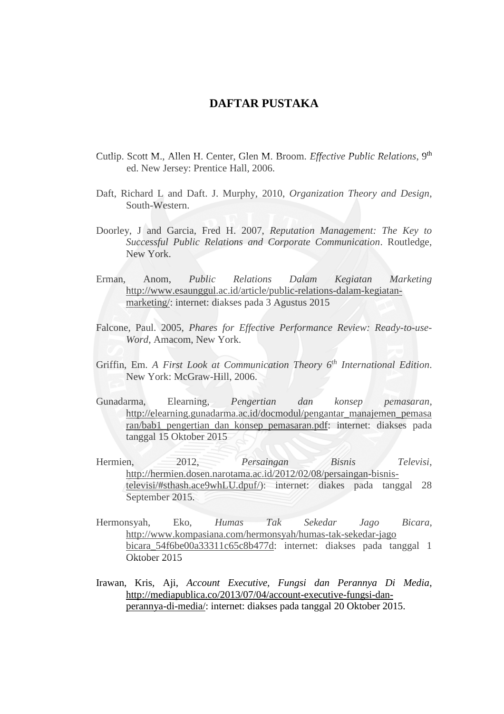## **DAFTAR PUSTAKA**

- Cutlip. Scott M., Allen H. Center, Glen M. Broom. *Effective Public Relations*, 9th ed. New Jersey: Prentice Hall, 2006.
- Daft, Richard L and Daft. J. Murphy, 2010, *Organization Theory and Design*, South-Western.
- Doorley, J and Garcia, Fred H. 2007, *Reputation Management: The Key to Successful Public Relations and Corporate Communication*. Routledge, New York.
- Erman, Anom, *Public Relations Dalam Kegiatan Marketing* [http://www.esaunggul.ac.id/article/public-relations-dalam-kegiatan](http://www.esaunggul.ac.id/article/public-relations-dalam-kegiatan-marketing/)[marketing/:](http://www.esaunggul.ac.id/article/public-relations-dalam-kegiatan-marketing/) internet: diakses pada 3 Agustus 2015
- Falcone, Paul. 2005, *Phares for Effective Performance Review: Ready-to-use-Word*, Amacom, New York.
- Griffin, Em. *A First Look at Communication Theory 6th International Edition*. New York: McGraw-Hill, 2006.
- Gunadarma, Elearning, *Pengertian dan konsep pemasaran*, [http://elearning.gunadarma.ac.id/docmodul/pengantar\\_manajemen\\_pemasa](http://elearning.gunadarma.ac.id/docmodul/pengantar_manajemen_pemasaran/bab1_pengertian_dan_konsep_pemasaran.pdf) [ran/bab1\\_pengertian\\_dan\\_konsep\\_pemasaran.pdf:](http://elearning.gunadarma.ac.id/docmodul/pengantar_manajemen_pemasaran/bab1_pengertian_dan_konsep_pemasaran.pdf) internet: diakses pada tanggal 15 Oktober 2015
- Hermien, 2012, *Persaingan Bisnis Televisi*, [http://hermien.dosen.narotama.ac.id/2012/02/08/persaingan-bisnis](http://hermien.dosen.narotama.ac.id/2012/02/08/persaingan-bisnis-televisi/#sthash.ace9whLU.dpuf/)[televisi/#sthash.ace9whLU.dpuf/\)](http://hermien.dosen.narotama.ac.id/2012/02/08/persaingan-bisnis-televisi/#sthash.ace9whLU.dpuf/): internet: diakes pada tanggal 28 September 2015.
- Hermonsyah, Eko, *Humas Tak Sekedar Jago Bicara*, [http://www.kompasiana.com/hermonsyah/humas-tak-sekedar-jago](http://www.kompasiana.com/hermonsyah/humas-tak-sekedar-jago%20bicara_54f6be00a33311c65c8b477d)  [bicara\\_54f6be00a33311c65c8b477d:](http://www.kompasiana.com/hermonsyah/humas-tak-sekedar-jago%20bicara_54f6be00a33311c65c8b477d) internet: diakses pada tanggal 1 Oktober 2015
- Irawan, Kris, Aji, *Account Executive, Fungsi dan Perannya Di Media*, [http://mediapublica.co/2013/07/04/account-executive-fungsi-dan](http://mediapublica.co/2013/07/04/account-executive-fungsi-dan-perannya-di-media/)[perannya-di-media/:](http://mediapublica.co/2013/07/04/account-executive-fungsi-dan-perannya-di-media/) internet: diakses pada tanggal 20 Oktober 2015.